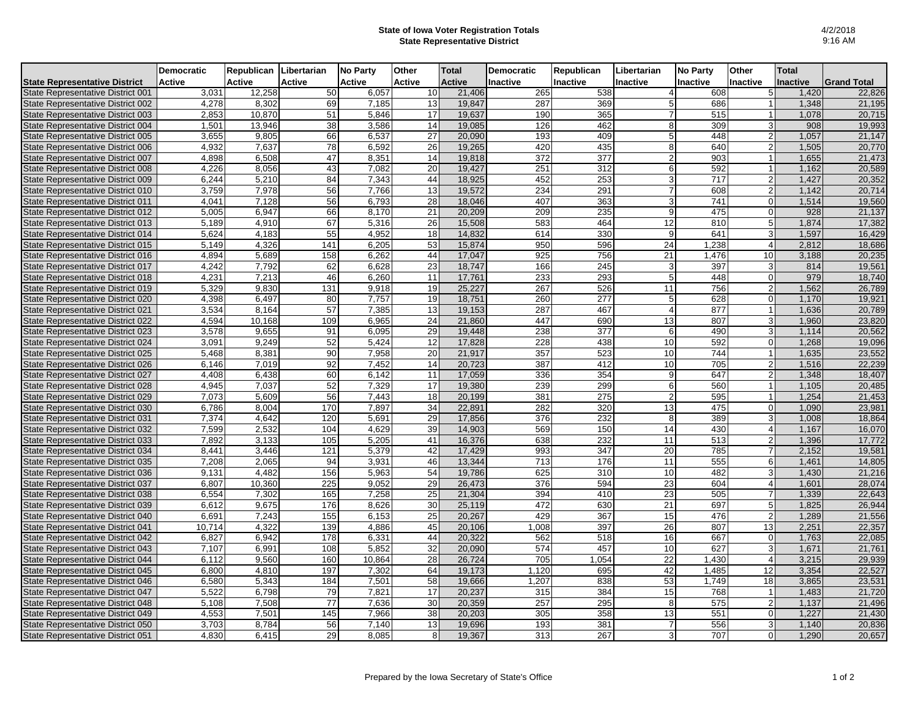## **State of Iowa Voter Registration Totals State Representative District**

|                                      | <b>Democratic</b> | Republican | Libertarian | <b>No Party</b> | Other           | <b>Total</b>  | <b>Democratic</b> | Republican       | Libertarian    | <b>No Party</b> | Other                   | Total    |                    |
|--------------------------------------|-------------------|------------|-------------|-----------------|-----------------|---------------|-------------------|------------------|----------------|-----------------|-------------------------|----------|--------------------|
| <b>State Representative District</b> | <b>Active</b>     | Active     | Active      | Active          | <b>Active</b>   | <b>Active</b> | <b>Inactive</b>   | Inactive         | Inactive       | Inactive        | Inactive                | Inactive | <b>Grand Total</b> |
| State Representative District 001    | 3,031             | 12,258     | 50          | 6,057           | 10              | 21,406        | 265               | 538              | 4              | 608             |                         | 1.420    | 22,826             |
| State Representative District 002    | 4,278             | 8,302      | 69          | 7,185           | 13              | 19,847        | 287               | 369              | 5              | 686             |                         | 1,348    | 21,195             |
| State Representative District 003    | 2.853             | 10,870     | 51          | 5.846           | 17              | 19.637        | 190               | 365              | $\overline{7}$ | 515             |                         | 1.078    | 20,715             |
| State Representative District 004    | 1,501             | 13,946     | 38          | 3,586           | 14              | 19,085        | 126               | 462              | 8              | 309             |                         | 908      | 19,993             |
| State Representative District 005    | 3,655             | 9,805      | 66          | 6,537           | 27              | 20,090        | 193               | 409              | 5              | 448             |                         | 1,057    | 21,147             |
| State Representative District 006    | 4,932             | 7,637      | 78          | 6,592           | 26              | 19,265        | 420               | 435              | 8              | 640             | $\overline{2}$          | 1,505    | 20,770             |
| State Representative District 007    | 4,898             | 6,508      | 47          | 8,351           | 14              | 19,818        | 372               | 377              | 2              | 903             |                         | 1,655    | 21,473             |
| State Representative District 008    | 4.226             | 8.056      | 43          | 7.082           | 20              | 19,427        | 251               | 312              | 6              | 592             |                         | 1,162    | 20,589             |
| State Representative District 009    | 6,244             | 5,210      | 84          | 7,343           | 44              | 18,925        | 452               | 253              | 3              | 717             | $\overline{2}$          | 1,427    | 20,352             |
| State Representative District 010    | 3,759             | 7,978      | 56          | 7,766           | 13              | 19,572        | 234               | 291              |                | 608             | $\overline{2}$          | 1,142    | 20,714             |
| State Representative District 011    | 4,041             | 7,128      | 56          | 6,793           | 28              | 18,046        | 407               | 363              | 3              | 741             | $\Omega$                | 1,514    | 19,560             |
| State Representative District 012    | 5,005             | 6,947      | 66          | 8.170           | $\overline{21}$ | 20,209        | 209               | 235              | 9              | 475             | $\Omega$                | 928      | 21,137             |
| State Representative District 013    | 5,189             | 4,910      | 67          | 5,316           | 26              | 15,508        | 583               | 464              | 12             | 810             | 5                       | 1,874    | 17,382             |
| State Representative District 014    | 5,624             | 4,183      | 55          | 4,952           | 18              | 14,832        | 614               | 330              | 9              | 641             | 3                       | 1,597    | 16,429             |
| State Representative District 015    | 5,149             | 4,326      | 141         | 6,205           | 53              | 15,874        | 950               | 596              | 24             | 1,238           | $\overline{\mathbf{A}}$ | 2,812    | 18,686             |
| State Representative District 016    | 4.894             | 5.689      | 158         | 6.262           | 44              | 17.047        | 925               | 756              | 21             | 1,476           | 10                      | 3.188    | 20,235             |
| State Representative District 017    | 4,242             | 7,792      | 62          | 6.628           | 23              | 18,747        | 166               | $\overline{245}$ | 3              | 397             | 3                       | 814      | 19,561             |
| State Representative District 018    | 4,231             | 7,213      | 46          | 6,260           | 11              | 17,761        | 233               | 293              | 5              | 448             | $\Omega$                | 979      | 18,740             |
| State Representative District 019    | 5,329             | 9,830      | 131         | 9,918           | 19              | 25,227        | 267               | 526              | 11             | 756             | $\overline{2}$          | 1,562    | 26,789             |
| State Representative District 020    | 4,398             | 6,497      | 80          | 7,757           | 19              | 18,751        | 260               | 277              | 5              | 628             |                         | 1,170    | 19,921             |
| State Representative District 021    | 3,534             | 8.164      | 57          | 7.385           | 13              | 19,153        | 287               | 467              | $\overline{4}$ | 877             |                         | 1,636    | 20,789             |
| State Representative District 022    | 4,594             | 10,168     | 109         | 6,965           | 24              | 21,860        | 447               | 690              | 13             | 807             | 31                      | 1,960    | 23,820             |
| State Representative District 023    | 3,578             | 9.655      | 91          | 6.095           | 29              | 19,448        | 238               | 377              | 6              | 490             | 3                       | 1,114    | 20.562             |
| State Representative District 024    | 3,091             | 9,249      | 52          | 5,424           | 12              | 17,828        | 228               | 438              | 10             | 592             | $\Omega$                | 1,268    | 19,096             |
| State Representative District 025    | 5,468             | 8,381      | 90          | 7,958           | 20              | 21,917        | 357               | 523              | 10             | 744             |                         | 1,635    | 23,552             |
| State Representative District 026    | 6,146             | 7,019      | 92          | 7,452           | 14              | 20,723        | 387               | 412              | 10             | 705             | $\mathcal{P}$           | 1,516    | 22,239             |
| State Representative District 027    | 4,408             | 6,438      | 60          | 6,142           | 11              | 17,059        | 336               | 354              | 9              | 647             | 21                      | 1,348    | 18,407             |
| State Representative District 028    | 4,945             | 7,037      | 52          | 7,329           | 17              | 19,380        | 239               | 299              | 6              | 560             |                         | 1,105    | 20,485             |
| State Representative District 029    | 7.073             | 5,609      | 56          | 7.443           | 18              | 20,199        | 381               | 275              | 2              | 595             |                         | 1.254    | 21,453             |
| State Representative District 030    | 6,786             | 8,004      | 170         | 7,897           | 34              | 22,891        | 282               | 320              | 13             | 475             |                         | 1,090    | 23,981             |
| State Representative District 031    | 7,374             | 4,642      | 120         | 5,691           | 29              | 17,856        | 376               | 232              | 8              | 389             | $\overline{3}$          | 1,008    | 18,864             |
| State Representative District 032    | 7,599             | 2,532      | 104         | 4,629           | 39              | 14,903        | 569               | 150              | 14             | 430             |                         | 1,167    | 16,070             |
| State Representative District 033    | 7,892             | 3,133      | 105         | 5,205           | 41              | 16,376        | 638               | 232              | 11             | 513             | $\overline{2}$          | 1,396    | 17,772             |
| State Representative District 034    | 8,441             | 3,446      | 121         | 5,379           | 42              | 17,429        | 993               | 347              | 20             | 785             |                         | 2,152    | 19,581             |
| State Representative District 035    | 7,208             | 2,065      | 94          | 3,931           | 46              | 13,344        | 713               | 176              | 11             | 555             | 6                       | 1,461    | 14,805             |
| State Representative District 036    | 9.131             | 4.482      | 156         | 5,963           | 54              | 19,786        | 625               | 310              | 10             | 482             | $\overline{3}$          | 1,430    | 21,216             |
| State Representative District 037    | 6,807             | 10,360     | 225         | 9,052           | 29              | 26,473        | 376               | 594              | 23             | 604             | $\overline{4}$          | 1,601    | 28,074             |
| State Representative District 038    | 6,554             | 7.302      | 165         | 7.258           | 25              | 21,304        | 394               | 410              | 23             | 505             | 7                       | 1.339    | 22,643             |
| State Representative District 039    | 6,612             | 9,675      | 176         | 8,626           | 30              | 25,119        | 472               | 630              | 21             | 697             | 5                       | 1,825    | 26,944             |
| State Representative District 040    | 6,691             | 7,243      | 155         | 6,153           | 25              | 20,267        | 429               | 367              | 15             | 476             | $\overline{2}$          | 1,289    | 21,556             |
| State Representative District 041    | 10,714            | 4,322      | 139         | 4,886           | 45              | 20,106        | 1,008             | 397              | 26             | 807             | 13                      | 2,251    | 22,357             |
| State Representative District 042    | 6,827             | 6,942      | 178         | 6,331           | 44              | 20,322        | 562               | 518              | 16             | 667             | $\Omega$                | 1,763    | 22,085             |
| State Representative District 043    | 7,107             | 6,991      | 108         | 5,852           | 32              | 20,090        | 574               | 457              | 10             | 627             | $\overline{3}$          | 1,671    | 21,761             |
| State Representative District 044    | 6,112             | 9,560      | 160         | 10,864          | 28              | 26,724        | 705               | 1,054            | 22             | 1,430           | $\overline{\mathbf{4}}$ | 3,215    | 29,939             |
| State Representative District 045    | 6,800             | 4,810      | 197         | 7,302           | 64              | 19,173        | 1,120             | 695              | 42             | 1,485           | 12                      | 3,354    | 22,527             |
| State Representative District 046    | 6,580             | 5,343      | 184         | 7,501           | 58              | 19,666        | 1,207             | 838              | 53             | 1,749           | 18                      | 3,865    | 23,531             |
| State Representative District 047    | 5,522             | 6,798      | 79          | 7,821           | 17              | 20,237        | 315               | 384              | 15             | 768             |                         | 1,483    | 21,720             |
| State Representative District 048    | 5,108             | 7,508      | 77          | 7,636           | 30              | 20,359        | 257               | 295              | 8              | 575             | $\overline{2}$          | 1,137    | 21,496             |
| State Representative District 049    | 4,553             | 7,501      | 145         | 7,966           | 38              | 20,203        | 305               | 358              | 13             | 551             | $\overline{0}$          | 1,227    | 21,430             |
| State Representative District 050    | 3,703             | 8,784      | 56          | 7,140           | 13              | 19,696        | 193               | 381              | $\overline{7}$ | 556             | $\overline{3}$          | 1,140    | 20,836             |
| State Representative District 051    | 4,830             | 6,415      | 29          | 8,085           | 8               | 19,367        | 313               | 267              | 3              | 707             |                         | 1,290    | 20,657             |